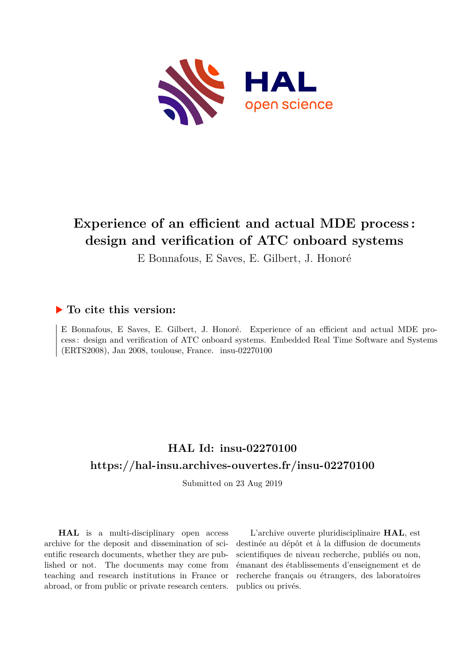

# **Experience of an efficient and actual MDE process : design and verification of ATC onboard systems**

E Bonnafous, E Saves, E. Gilbert, J. Honoré

### **To cite this version:**

E Bonnafous, E Saves, E. Gilbert, J. Honoré. Experience of an efficient and actual MDE process : design and verification of ATC onboard systems. Embedded Real Time Software and Systems  $(ERTS2008)$ , Jan 2008, toulouse, France. insu-02270100

## **HAL Id: insu-02270100 <https://hal-insu.archives-ouvertes.fr/insu-02270100>**

Submitted on 23 Aug 2019

**HAL** is a multi-disciplinary open access archive for the deposit and dissemination of scientific research documents, whether they are published or not. The documents may come from teaching and research institutions in France or abroad, or from public or private research centers.

L'archive ouverte pluridisciplinaire **HAL**, est destinée au dépôt et à la diffusion de documents scientifiques de niveau recherche, publiés ou non, émanant des établissements d'enseignement et de recherche français ou étrangers, des laboratoires publics ou privés.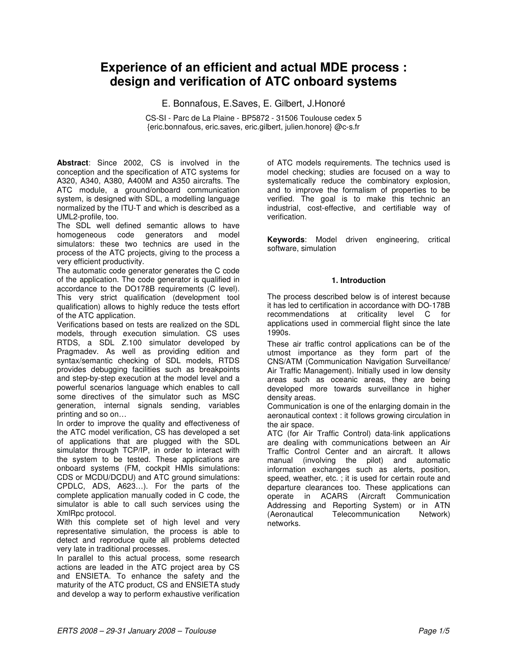## **Experience of an efficient and actual MDE process : design and verification of ATC onboard systems**

E. Bonnafous, E.Saves, E. Gilbert, J.Honoré

CS-SI - Parc de La Plaine - BP5872 - 31506 Toulouse cedex 5 {eric.bonnafous, eric.saves, eric.gilbert, julien.honore} @c-s.fr

**Abstract**: Since 2002, CS is involved in the conception and the specification of ATC systems for A320, A340, A380, A400M and A350 aircrafts. The ATC module, a ground/onboard communication system, is designed with SDL, a modelling language normalized by the ITU-T and which is described as a UML2-profile, too.

The SDL well defined semantic allows to have homogeneous code generators and model simulators: these two technics are used in the process of the ATC projects, giving to the process a very efficient productivity.

The automatic code generator generates the C code of the application. The code generator is qualified in accordance to the DO178B requirements (C level). This very strict qualification (development tool qualification) allows to highly reduce the tests effort of the ATC application.

Verifications based on tests are realized on the SDL models, through execution simulation. CS uses RTDS, a SDL Z.100 simulator developed by Pragmadev. As well as providing edition and syntax/semantic checking of SDL models, RTDS provides debugging facilities such as breakpoints and step-by-step execution at the model level and a powerful scenarios language which enables to call some directives of the simulator such as MSC generation, internal signals sending, variables printing and so on…

In order to improve the quality and effectiveness of the ATC model verification, CS has developed a set of applications that are plugged with the SDL simulator through TCP/IP, in order to interact with the system to be tested. These applications are onboard systems (FM, cockpit HMIs simulations: CDS or MCDU/DCDU) and ATC ground simulations: CPDLC, ADS, A623…). For the parts of the complete application manually coded in C code, the simulator is able to call such services using the XmlRpc protocol.

With this complete set of high level and very representative simulation, the process is able to detect and reproduce quite all problems detected very late in traditional processes.

In parallel to this actual process, some research actions are leaded in the ATC project area by CS and ENSIETA. To enhance the safety and the maturity of the ATC product, CS and ENSIETA study and develop a way to perform exhaustive verification

of ATC models requirements. The technics used is model checking; studies are focused on a way to systematically reduce the combinatory explosion, and to improve the formalism of properties to be verified. The goal is to make this technic an industrial, cost-effective, and certifiable way of verification.

**Keywords**: Model driven engineering, critical software, simulation

#### **1. Introduction**

The process described below is of interest because it has led to certification in accordance with DO-178B recommendations at criticality level C for applications used in commercial flight since the late 1990s.

These air traffic control applications can be of the utmost importance as they form part of the CNS/ATM (Communication Navigation Surveillance/ Air Traffic Management). Initially used in low density areas such as oceanic areas, they are being developed more towards surveillance in higher density areas.

Communication is one of the enlarging domain in the aeronautical context : it follows growing circulation in the air space.

ATC (for Air Traffic Control) data-link applications are dealing with communications between an Air Traffic Control Center and an aircraft. It allows manual (involving the pilot) and automatic information exchanges such as alerts, position, speed, weather, etc. ; it is used for certain route and departure clearances too. These applications can operate in ACARS (Aircraft Communication Addressing and Reporting System) or in ATN (Aeronautical Telecommunication Network) networks.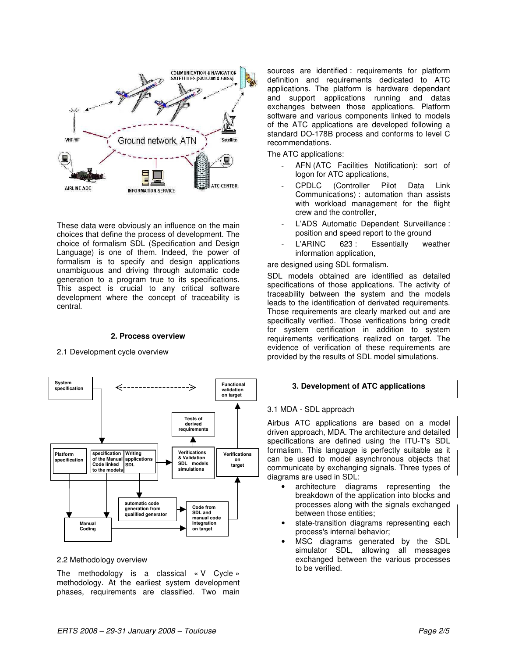

These data were obviously an influence on the main choices that define the process of development. The choice of formalism SDL (Specification and Design Language) is one of them. Indeed, the power of formalism is to specify and design applications unambiguous and driving through automatic code generation to a program true to its specifications. This aspect is crucial to any critical software development where the concept of traceability is central.

#### **2. Process overview**

#### 2.1 Development cycle overview



#### 2.2 Methodology overview

The methodology is a classical « V Cycle » methodology. At the earliest system development phases, requirements are classified. Two main sources are identified : requirements for platform definition and requirements dedicated to ATC applications. The platform is hardware dependant and support applications running and datas exchanges between those applications. Platform software and various components linked to models of the ATC applications are developed following a standard DO-178B process and conforms to level C recommendations.

The ATC applications:

- AFN (ATC Facilities Notification): sort of logon for ATC applications,
- CPDLC (Controller Pilot Data Link Communications) : automation than assists with workload management for the flight crew and the controller,
- L'ADS Automatic Dependent Surveillance : position and speed report to the ground
- L'ARINC 623 : Essentially weather information application,

are designed using SDL formalism.

SDL models obtained are identified as detailed specifications of those applications. The activity of traceability between the system and the models leads to the identification of derivated requirements. Those requirements are clearly marked out and are specifically verified. Those verifications bring credit for system certification in addition to system requirements verifications realized on target. The evidence of verification of these requirements are provided by the results of SDL model simulations.

#### **3. Development of ATC applications**

#### 3.1 MDA - SDL approach

Airbus ATC applications are based on a model driven approach, MDA. The architecture and detailed specifications are defined using the ITU-T's SDL formalism. This language is perfectly suitable as it can be used to model asynchronous objects that communicate by exchanging signals. Three types of diagrams are used in SDL:

- architecture diagrams representing the breakdown of the application into blocks and processes along with the signals exchanged between those entities;
- state-transition diagrams representing each process's internal behavior;
- MSC diagrams generated by the SDL simulator SDL, allowing all messages exchanged between the various processes to be verified.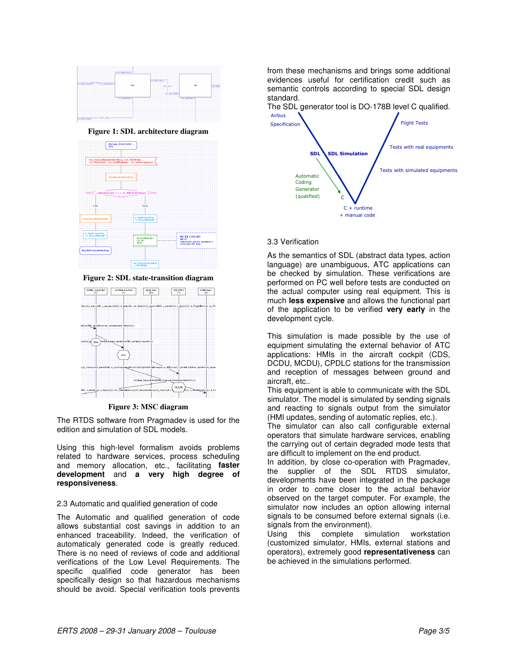

**Figure 1: SDL architecture diagram**



**Figure 2: SDL state-transition diagram**



**Figure 3: MSC diagram**

The RTDS software from Pragmadev is used for the edition and simulation of SDL models.

Using this high-level formalism avoids problems related to hardware services, process scheduling and memory allocation, etc., facilitating **faster development** and **a very high degree of responsiveness**.

#### 2.3 Automatic and qualified generation of code

The Automatic and qualified generation of code allows substantial cost savings in addition to an enhanced traceability. Indeed, the verification of automaticaly generated code is greatly reduced. There is no need of reviews of code and additional verifications of the Low Level Requirements. The specific qualified code generator has been specifically design so that hazardous mechanisms should be avoid. Special verification tools prevents from these mechanisms and brings some additional evidences useful for certification credit such as semantic controls according to special SDL design standard.

The SDL generator tool is DO-178B level C qualified.



#### 3.3 Verification

As the semantics of SDL (abstract data types, action language) are unambiguous, ATC applications can be checked by simulation. These verifications are performed on PC well before tests are conducted on the actual computer using real equipment. This is much **less expensive** and allows the functional part of the application to be verified **very early** in the development cycle.

This simulation is made possible by the use of equipment simulating the external behavior of ATC applications: HMIs in the aircraft cockpit (CDS, DCDU, MCDU), CPDLC stations for the transmission and reception of messages between ground and aircraft, etc..

This equipment is able to communicate with the SDL simulator. The model is simulated by sending signals and reacting to signals output from the simulator (HMI updates, sending of automatic replies, etc.).

The simulator can also call configurable external operators that simulate hardware services, enabling the carrying out of certain degraded mode tests that are difficult to implement on the end product.

In addition, by close co-operation with Pragmadev, the supplier of the SDL RTDS simulator, developments have been integrated in the package in order to come closer to the actual behavior observed on the target computer. For example, the simulator now includes an option allowing internal signals to be consumed before external signals (i.e. signals from the environment).

Using this complete simulation workstation (customized simulator, HMIs, external stations and operators), extremely good **representativeness** can be achieved in the simulations performed.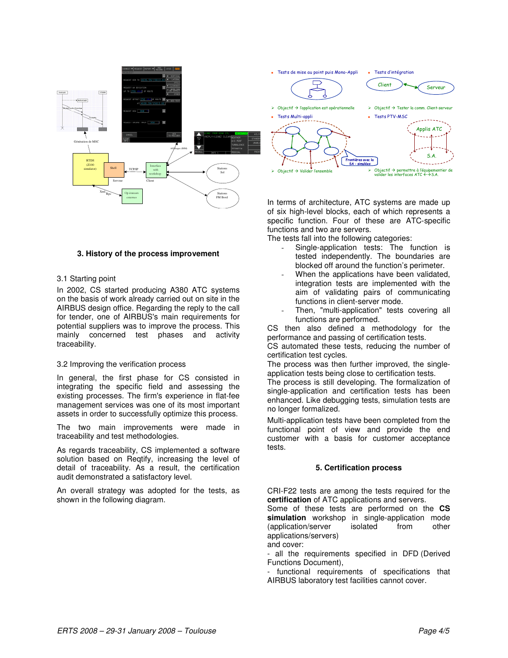

#### **3. History of the process improvement**

#### 3.1 Starting point

In 2002, CS started producing A380 ATC systems on the basis of work already carried out on site in the AIRBUS design office. Regarding the reply to the call for tender, one of AIRBUS's main requirements for potential suppliers was to improve the process. This mainly concerned test phases and activity traceability.

#### 3.2 Improving the verification process

In general, the first phase for CS consisted in integrating the specific field and assessing the existing processes. The firm's experience in flat-fee management services was one of its most important assets in order to successfully optimize this process.

The two main improvements were made in traceability and test methodologies.

As regards traceability, CS implemented a software solution based on Reqtify, increasing the level of detail of traceability. As a result, the certification audit demonstrated a satisfactory level.

An overall strategy was adopted for the tests, as shown in the following diagram.

In terms of architecture, ATC systems are made up of six high-level blocks, each of which represents a specific function. Four of these are ATC-specific functions and two are servers.

The tests fall into the following categories:

- Single-application tests: The function is tested independently. The boundaries are blocked off around the function's perimeter.
- When the applications have been validated, integration tests are implemented with the aim of validating pairs of communicating functions in client-server mode.
- Then, "multi-application" tests covering all functions are performed.

CS then also defined a methodology for the performance and passing of certification tests.

CS automated these tests, reducing the number of certification test cycles.

The process was then further improved, the singleapplication tests being close to certification tests.

The process is still developing. The formalization of single-application and certification tests has been enhanced. Like debugging tests, simulation tests are no longer formalized.

Multi-application tests have been completed from the functional point of view and provide the end customer with a basis for customer acceptance tests.

#### **5. Certification process**

CRI-F22 tests are among the tests required for the **certification** of ATC applications and servers.

Some of these tests are performed on the **CS simulation** workshop in single-application mode (application/server isolated from other applications/servers) and cover:

- all the requirements specified in DFD (Derived Functions Document),

- functional requirements of specifications that AIRBUS laboratory test facilities cannot cover.